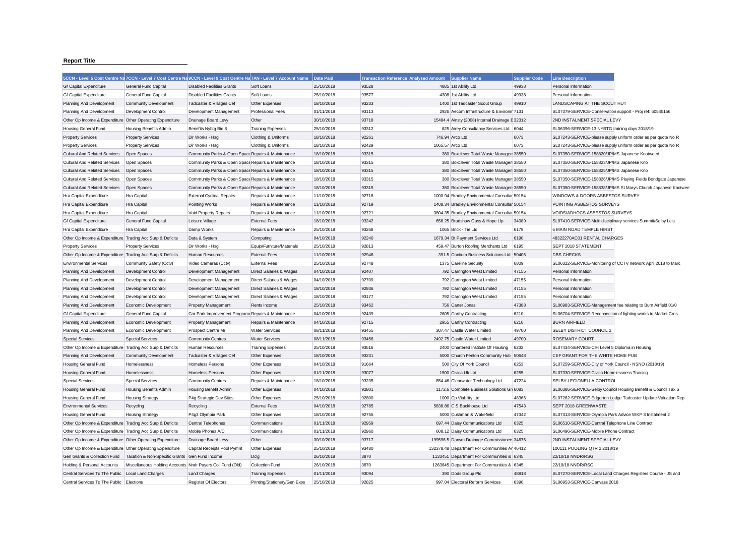## **Report Title**

|                                                           | 5CCN - Level 5 Cost Centre Na 7CCN - Level 7 Cost Centre Na 9CCN - Level 9 Cost Centre Na 7AN - Level 7 Account Name |                                                     |                              | Date Paid  | Transaction Reference Analysed Amount Supplier Name |                  |                                                 | <b>Supplier Code</b> | <b>Line Description</b>                                       |                                                               |
|-----------------------------------------------------------|----------------------------------------------------------------------------------------------------------------------|-----------------------------------------------------|------------------------------|------------|-----------------------------------------------------|------------------|-------------------------------------------------|----------------------|---------------------------------------------------------------|---------------------------------------------------------------|
| <b>Gf Capital Expenditure</b>                             | <b>General Fund Capital</b>                                                                                          | <b>Disabled Facilities Grants</b>                   | Soft Loans                   | 25/10/2018 | 93528                                               |                  | 4885 1st Ability Ltd                            | 49938                | Personal Information                                          |                                                               |
| <b>Gf Capital Expenditure</b>                             | General Fund Capital                                                                                                 | <b>Disabled Facilities Grants</b>                   | Soft Loans                   | 25/10/2018 | 93577                                               |                  | 4308 1st Ability Ltd                            | 49938                | Personal Information                                          |                                                               |
| Planning And Development                                  | Community Development                                                                                                | Tadcaster & Villages Cef                            | Other Expenses               | 18/10/2018 | 93233                                               |                  | 1400 1st Tadcaster Scout Group                  | 49910                | LANDSCAPING AT THE SCOUT HUT                                  |                                                               |
| Planning And Development                                  | <b>Development Control</b>                                                                                           | Development Management                              | <b>Professional Fees</b>     | 01/11/2018 | 93113                                               |                  | 2926 Aecom Infrastructure & Environm 7131       |                      | SL07379-SERVICE-Conservation support - Proj ref: 60545156     |                                                               |
| Other Op Income & Expenditure                             | Other Operating Expenditure                                                                                          | Drainage Board Levy                                 | Other                        | 30/10/2018 | 93718                                               |                  | 15484.4 Ainsty (2008) Internal Drainage E 32312 |                      | 2ND INSTALMENT SPECIAL LEVY                                   |                                                               |
| <b>Housing General Fund</b>                               | <b>Housing Benefits Admin</b>                                                                                        | Benefits Nybtg Bid 8                                | <b>Training Expenses</b>     | 25/10/2018 | 93312                                               |                  | 625 Airey Consultancy Services Ltd 6044         |                      | SL06396-SERVICE-13 NYBTG training days 2018/19                |                                                               |
| <b>Property Services</b>                                  | <b>Property Services</b>                                                                                             | Dir Works - Hsg                                     | Clothing & Uniforms          | 18/10/2018 | 92261                                               |                  | 746.94 Arco Ltd                                 | 6073                 |                                                               | SL07243-SERVICE-please supply uniform order as per quote No R |
| <b>Property Services</b>                                  | <b>Property Services</b>                                                                                             | Dir Works - Hsg                                     | Clothing & Uniforms          | 18/10/2018 | 92429                                               | 1065.57 Arco Ltd |                                                 | 6073                 |                                                               | SL07243-SERVICE-please supply uniform order as per quote No R |
| <b>Cultural And Related Services</b>                      | Open Spaces                                                                                                          | Community Parks & Open Space Repairs & Maintenance  |                              | 18/10/2018 | 93315                                               |                  | 380 Boxclever Total Waste Managen 38550         |                      | SL07350-SERVICE-158820/JP/MS Japanese Knotweed                |                                                               |
| <b>Cultural And Related Services</b>                      | Open Spaces                                                                                                          | Community Parks & Open Space Repairs & Maintenance  |                              | 18/10/2018 | 93315                                               |                  | 380 Boxclever Total Waste Managen 38550         |                      | SL07350-SERVICE-158823/JP/MS Japanese Kno                     |                                                               |
| <b>Cultural And Related Services</b>                      | Open Spaces                                                                                                          | Community Parks & Open Space Repairs & Maintenance  |                              | 18/10/2018 | 93315                                               |                  | 380 Boxclever Total Waste Managen 38550         |                      | SL07350-SERVICE-158825/JP/MS Japanese Kno                     |                                                               |
| <b>Cultural And Related Services</b>                      | Open Spaces                                                                                                          | Community Parks & Open Space Repairs & Maintenance  |                              | 18/10/2018 | 93315                                               |                  | 380 Boxclever Total Waste Managen 38550         |                      |                                                               | SL07350-SERVICE-158826/JP/MS Playing Fields Bondgate Japanese |
| <b>Cultural And Related Services</b>                      | Open Spaces                                                                                                          | Community Parks & Open Space Repairs & Maintenance  |                              | 18/10/2018 | 93315                                               |                  | 380 Boxclever Total Waste Managen 38550         |                      |                                                               | SL07350-SERVICE-158838/JP/MS St Marys Church Japanese Knotwee |
| Hra Capital Expenditure                                   | Hra Capital                                                                                                          | <b>External Cyclical Repairs</b>                    | Repairs & Maintenance        | 11/10/2018 | 92718                                               |                  | 1000.94 Bradley Environmental Consultar 50154   |                      | WINDOWS & DOORS ASBESTOS SURVEY                               |                                                               |
| Hra Capital Expenditure                                   | Hra Capital                                                                                                          | Pointing Works                                      | Repairs & Maintenance        | 11/10/2018 | 92719                                               |                  | 1408.34 Bradley Environmental Consultar 50154   |                      | POINTING ASBESTOS SURVEYS                                     |                                                               |
| Hra Capital Expenditure                                   | Hra Capital                                                                                                          | Void Property Repairs                               | Repairs & Maintenance        | 11/10/2018 | 92721                                               |                  | 3804.35 Bradley Environmental Consultar 50154   |                      | VOIDS/ADHOCS ASBESTOS SURVEYS                                 |                                                               |
| <b>Gf Capital Expenditure</b>                             | General Fund Capital                                                                                                 | Leisure Village                                     | <b>External Fees</b>         | 18/10/2018 | 93242                                               |                  | 656.25 Bradshaw Gass & Hope Llp                 | 34089                | SL07410-SERVICE-Multi disciplinary services Summit/Selby Leis |                                                               |
| Hra Capital Expenditure                                   | Hra Capital                                                                                                          | Damp Works                                          | Repairs & Maintenance        | 25/10/2018 | 93268                                               |                  | 1065 Brick - Tie Ltd                            | 6179                 | 6 MAIN ROAD TEMPLE HIRST                                      |                                                               |
| Other Op Income & Expenditure Trading Acc Surp & Deficits |                                                                                                                      | Data & System                                       | Computing                    | 04/10/2018 | 92240                                               |                  | 1679.34 Bt Payment Services Ltd                 | 6190                 | 48322270AC01 RENTAL CHARGES                                   |                                                               |
| <b>Property Services</b>                                  | <b>Property Services</b>                                                                                             | Dir Works - Hsg                                     | Equip/Furniture/Materials    | 25/10/2018 | 92813                                               |                  | 459.47 Burton Roofing Merchants Ltd             | 6195                 | SEPT 2018 STATEMENT                                           |                                                               |
| Other Op Income & Expenditure Trading Acc Surp & Deficits |                                                                                                                      | Human Resources                                     | <b>External Fees</b>         | 11/10/2018 | 92946                                               |                  | 391.5 Cantium Business Solutions Ltd 50406      |                      | <b>DBS CHECKS</b>                                             |                                                               |
| <b>Environmental Services</b>                             | Community Safety (Cctv)                                                                                              | Video Cameras (Cctv)                                | <b>External Fees</b>         | 25/10/2018 | 92748                                               |                  | 1375 Careline Security                          | 6809                 |                                                               | SL06322-SERVICE-Monitoring of CCTV network April 2018 to Marc |
| Planning And Development                                  | Development Control                                                                                                  | Development Management                              | Direct Salaries & Wages      | 04/10/2018 | 92407                                               |                  | 792 Carrington West Limited                     | 47155                | Personal Information                                          |                                                               |
| Planning And Development                                  | Development Control                                                                                                  | Development Management                              | Direct Salaries & Wages      | 04/10/2018 | 92709                                               |                  | 792 Carrington West Limited                     | 47155                | Personal Information                                          |                                                               |
| Planning And Development                                  | Development Control                                                                                                  | Development Management                              | Direct Salaries & Wages      | 18/10/2018 | 92936                                               |                  | 792 Carrington West Limited                     | 47155                | Personal Information                                          |                                                               |
| Planning And Development                                  | Development Control                                                                                                  | Development Management                              | Direct Salaries & Wages      | 18/10/2018 | 93177                                               |                  | 792 Carrington West Limited                     | 47155                | Personal Information                                          |                                                               |
| Planning And Development                                  | Economic Development                                                                                                 | <b>Property Management</b>                          | Rents Income                 | 25/10/2018 | 93462                                               |                  | 756 Carter Jonas                                | 47388                | SL06983-SERVICE-Management fee relating to Burn Airfield 01/0 |                                                               |
| <b>Gf Capital Expenditure</b>                             | General Fund Capital                                                                                                 | Car Park Improvement Program: Repairs & Maintenance |                              | 04/10/2018 | 92439                                               |                  | 2605 Carthy Contracting                         | 6210                 | SL06704-SERVICE-Reconnection of lighting works to Market Cros |                                                               |
| Planning And Development                                  | Economic Development                                                                                                 | <b>Property Management</b>                          | Repairs & Maintenance        | 04/10/2018 | 92715                                               |                  | 2955 Carthy Contracting                         | 6210                 | <b>BURN AIRFIELD</b>                                          |                                                               |
| Planning And Development                                  | Economic Development                                                                                                 | Prospect Centre Mr                                  | <b>Water Services</b>        | 08/11/2018 | 93455                                               |                  | 307.47 Castle Water Limited                     | 49700                | SELBY DISTRICT COUNCIL 2                                      |                                                               |
| <b>Special Services</b>                                   | <b>Special Services</b>                                                                                              | <b>Community Centres</b>                            | <b>Water Services</b>        | 08/11/2018 | 93456                                               |                  | 2492.75 Castle Water Limited                    | 49700                | <b>ROSEMARY COURT</b>                                         |                                                               |
| Other Op Income & Expenditure Trading Acc Surp & Deficits |                                                                                                                      | Human Resources                                     | <b>Training Expenses</b>     | 25/10/2018 | 93516                                               |                  | 2400 Chartered Institute Of Housing             | 6232                 | SL07434-SERVICE-CIH Level 5 Diploma in Housing                |                                                               |
| Planning And Development                                  | Community Development                                                                                                | Tadcaster & Villages Cef                            | Other Expenses               | 18/10/2018 | 93231                                               |                  | 5000 Church Fenton Community Hub 50648          |                      | CEF GRANT FOR THE WHITE HOME PUB                              |                                                               |
| Housing General Fund                                      | Homelessness                                                                                                         | <b>Homeless Persons</b>                             | Other Expenses               | 04/10/2018 | 91664                                               |                  | 500 City Of York Council                        | 6253                 | SL07259-SERVICE-City of York Council - NSNO (2018/19)         |                                                               |
| Housing General Fund                                      | Homelessness                                                                                                         | <b>Homeless Persons</b>                             | Other Expenses               | 01/11/2018 | 93077                                               |                  | 1500 Civica Uk Ltd                              | 6255                 | SL07330-SERVICE-Civica Homelessness Training                  |                                                               |
| <b>Special Services</b>                                   | <b>Special Services</b>                                                                                              | <b>Community Centres</b>                            | Repairs & Maintenance        | 18/10/2018 | 93235                                               |                  | 854.46 Clearwater Technology Ltd                | 47224                | SELBY LEGIONELLA CONTROL                                      |                                                               |
| <b>Housing General Fund</b>                               | <b>Housing Benefits Admin</b>                                                                                        | <b>Housing Benefit Admin</b>                        | Other Expenses               | 04/10/2018 | 92801                                               |                  | 1172.6 Complete Business Solutions Gr 6083      |                      |                                                               | SL06386-SERVICE-Selby Council Housing Benefit & Council Tax S |
| Housing General Fund                                      | <b>Housing Strategy</b>                                                                                              | P4g Strategic Dev Sites                             | Other Expenses               | 25/10/2018 | 92800                                               |                  | 1000 Cp Viability Ltd                           | 48366                |                                                               | SL07262-SERVICE-Edgerton Lodge Tadcaster Update Valuation Rep |
| <b>Environmental Services</b>                             | Recycling                                                                                                            | Recycling                                           | <b>External Fees</b>         | 04/10/2018 | 92785                                               |                  | 5838.86 C S Backhouse Ltd                       | 47543                | SEPT 2018 GREENWASTE                                          |                                                               |
| Housing General Fund                                      | <b>Housing Strategy</b>                                                                                              | P4g3 Olympia Park                                   | Other Expenses               | 18/10/2018 | 92755                                               |                  | 5000 Cushman & Wakefield                        | 47342                | SL07313-SERVICE-Olympia Park Advice WKP 3 Instalment 2        |                                                               |
| Other Op Income & Expenditure Trading Acc Surp & Deficits |                                                                                                                      | Central Telephones                                  | Communications               | 01/11/2018 | 92959                                               |                  | 697.44 Daisy Communications Ltd                 | 6325                 | SL06510-SERVICE-Central Telephone Line Contract               |                                                               |
| Other Op Income & Expenditure Trading Acc Surp & Deficits |                                                                                                                      | Mobile Phones A/C                                   | Communications               | 01/11/2018 | 92960                                               |                  | 608.12 Daisy Communications Ltd                 | 6325                 | SL06496-SERVICE-Mobile Phone Contract                         |                                                               |
| Other Op Income & Expenditure Other Operating Expenditure |                                                                                                                      | Drainage Board Levy                                 | Other                        | 30/10/2018 | 93717                                               |                  | 199596.5 Danvm Drainage Commissioners 34676     |                      | 2ND INSTALMENT SPECIAL LEVY                                   |                                                               |
| Other Op Income & Expenditure Other Operating Expenditure |                                                                                                                      | Capital Receipts Pool Pymnt                         | Other Expenses               | 25/10/2018 | 93480                                               |                  | 132378.48 Department For Communities Ar 46412   |                      | 100111 POOLING QTR 2 2018/19                                  |                                                               |
| Gen Grants & Collection Fund                              | Taxation & Non-Specific Grants Gen Fund Income                                                                       |                                                     | Dclg                         | 26/10/2018 | 3870                                                |                  | 1133451 Department For Communities & 6345       |                      | 22/10/18 NNDR/RSG                                             |                                                               |
| Holding & Personal Accounts                               | Miscellaneous Holding Accounts Nndr Payers Coll Fund (Old)                                                           |                                                     | Collection Fund              | 26/10/2018 | 3870                                                |                  | 1263845 Department For Communities & 6345       |                      | 22/10/18 NNDR/RSG                                             |                                                               |
| Central Services To The Public Local Land Charges         |                                                                                                                      | <b>Land Charges</b>                                 | <b>Training Expenses</b>     | 01/11/2018 | 93094                                               |                  | 390 Dods Group Plc                              | 48818                |                                                               | SL07270-SERVICE-Local Land Charges Registers Course - JS and  |
| Central Services To The Public Flections                  |                                                                                                                      | Register Of Electors                                | Printing/Stationerv/Gen Exps | 25/10/2018 | 92825                                               |                  | 997.04 Electoral Reform Services                | 6390                 | SL06953-SERVICE-Canvass 2018                                  |                                                               |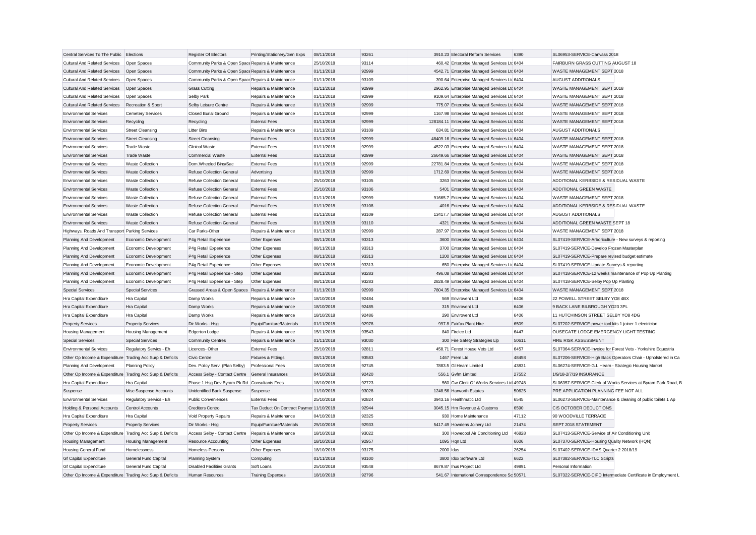| Central Services To The Public Elections                  |                             | Register Of Electors                               | Printing/Stationery/Gen Exps             | 08/11/2018 | 93261 |           | 3910.23 Electoral Reform Services              | 6390  | SL06953-SERVICE-Canvass 2018                                  |                                                               |
|-----------------------------------------------------------|-----------------------------|----------------------------------------------------|------------------------------------------|------------|-------|-----------|------------------------------------------------|-------|---------------------------------------------------------------|---------------------------------------------------------------|
| <b>Cultural And Related Services</b>                      | Open Spaces                 | Community Parks & Open Space Repairs & Maintenance |                                          | 25/10/2018 | 93114 |           | 460.42 Enterprise Managed Services Ltd 6404    |       | FAIRBURN GRASS CUTTING AUGUST 18                              |                                                               |
| <b>Cultural And Related Services</b>                      | Open Spaces                 | Community Parks & Open Space Repairs & Maintenance |                                          | 01/11/2018 | 92999 |           | 4542.71 Enterprise Managed Services Ltd 6404   |       | WASTE MANAGEMENT SEPT 2018                                    |                                                               |
| <b>Cultural And Related Services</b>                      | Open Spaces                 | Community Parks & Open Space Repairs & Maintenance |                                          | 01/11/2018 | 93109 |           | 390.64 Enterprise Managed Services Ltc 6404    |       | AUGUST ADDITIONALS                                            |                                                               |
| <b>Cultural And Related Services</b>                      | Open Spaces                 | <b>Grass Cutting</b>                               | Repairs & Maintenance                    | 01/11/2018 | 92999 |           | 2962.95 Enterprise Managed Services Ltd 6404   |       | WASTE MANAGEMENT SEPT 2018                                    |                                                               |
| Cultural And Related Services                             | Open Spaces                 | Selby Park                                         | Repairs & Maintenance                    | 01/11/2018 | 92999 |           | 9109.64 Enterprise Managed Services Ltd 6404   |       | WASTE MANAGEMENT SEPT 2018                                    |                                                               |
| <b>Cultural And Related Services</b>                      | Recreation & Sport          | Selby Leisure Centre                               | Repairs & Maintenance                    | 01/11/2018 | 92999 |           | 775.07 Enterprise Managed Services Ltc 6404    |       | WASTE MANAGEMENT SEPT 2018                                    |                                                               |
| <b>Environmental Services</b>                             | <b>Cemetery Services</b>    | <b>Closed Burial Ground</b>                        | Repairs & Maintenance                    | 01/11/2018 | 92999 |           | 1167.98 Enterprise Managed Services Ltd 6404   |       | WASTE MANAGEMENT SEPT 2018                                    |                                                               |
| <b>Environmental Services</b>                             | Recycling                   | Recycling                                          | <b>External Fees</b>                     | 01/11/2018 | 92999 |           | 128184.11 Enterprise Managed Services Ltd 6404 |       | WASTE MANAGEMENT SEPT 2018                                    |                                                               |
| <b>Environmental Services</b>                             | <b>Street Cleansing</b>     | <b>Litter Bins</b>                                 | Repairs & Maintenance                    | 01/11/2018 | 93109 |           | 634.81 Enterprise Managed Services Ltd 6404    |       | AUGUST ADDITIONALS                                            |                                                               |
| <b>Environmental Services</b>                             | <b>Street Cleansing</b>     | <b>Street Cleansing</b>                            | <b>External Fees</b>                     | 01/11/2018 | 92999 |           | 48409.16 Enterprise Managed Services Ltc 6404  |       | WASTE MANAGEMENT SEPT 2018                                    |                                                               |
| <b>Environmental Services</b>                             | <b>Trade Waste</b>          | <b>Clinical Waste</b>                              | <b>External Fees</b>                     | 01/11/2018 | 92999 |           | 4522.03 Enterprise Managed Services Ltd 6404   |       | WASTE MANAGEMENT SEPT 2018                                    |                                                               |
| <b>Environmental Services</b>                             | <b>Trade Waste</b>          | <b>Commercial Waste</b>                            | <b>External Fees</b>                     | 01/11/2018 | 92999 |           | 26649.66 Enterprise Managed Services Ltc 6404  |       | WASTE MANAGEMENT SEPT 2018                                    |                                                               |
| <b>Environmental Services</b>                             | <b>Waste Collection</b>     | Dom.Wheeled Bins/Sac                               | <b>External Fees</b>                     | 01/11/2018 | 92999 |           | 22781.84 Enterprise Managed Services Ltd 6404  |       | WASTE MANAGEMENT SEPT 2018                                    |                                                               |
| <b>Environmental Services</b>                             | <b>Waste Collection</b>     | Refuse Collection General                          | Advertising                              | 01/11/2018 | 92999 |           | 1712.69 Enterprise Managed Services Ltd 6404   |       | WASTE MANAGEMENT SEPT 2018                                    |                                                               |
| <b>Environmental Services</b>                             | <b>Waste Collection</b>     | Refuse Collection General                          | <b>External Fees</b>                     | 25/10/2018 | 93105 |           | 3263 Enterprise Managed Services Ltd 6404      |       | ADDITIONAL KERBSIDE & RESIDUAL WASTE                          |                                                               |
| <b>Environmental Services</b>                             | <b>Waste Collection</b>     | Refuse Collection General                          | <b>External Fees</b>                     | 25/10/2018 | 93106 |           | 5401 Enterprise Managed Services Ltd 6404      |       | ADDITIONAL GREEN WASTE                                        |                                                               |
| <b>Environmental Services</b>                             | <b>Waste Collection</b>     | Refuse Collection General                          | <b>External Fees</b>                     | 01/11/2018 | 92999 |           | 91665.7 Enterprise Managed Services Ltd 6404   |       | WASTE MANAGEMENT SEPT 2018                                    |                                                               |
| <b>Environmental Services</b>                             | <b>Waste Collection</b>     | Refuse Collection General                          | <b>External Fees</b>                     | 01/11/2018 | 93108 |           | 4016 Enterprise Managed Services Ltd 6404      |       | ADDITIONAL KERBSIDE & RESIDUAL WASTE                          |                                                               |
| <b>Environmental Services</b>                             | <b>Waste Collection</b>     | <b>Refuse Collection General</b>                   | <b>External Fees</b>                     | 01/11/2018 | 93109 |           | 13417.7 Enterprise Managed Services Ltd 6404   |       | <b>AUGUST ADDITIONALS</b>                                     |                                                               |
| <b>Environmental Services</b>                             | <b>Waste Collection</b>     | Refuse Collection General                          | <b>External Fees</b>                     | 01/11/2018 | 93110 |           | 4321 Enterprise Managed Services Ltd 6404      |       | ADDITIONAL GREEN WASTE SEPT 18                                |                                                               |
| Highways, Roads And Transport Parking Services            |                             | Car Parks-Other                                    | Repairs & Maintenance                    | 01/11/2018 | 92999 |           | 287.97 Enterprise Managed Services Ltd 6404    |       | WASTE MANAGEMENT SEPT 2018                                    |                                                               |
| Planning And Development                                  | Economic Development        | P4g Retail Experience                              | Other Expenses                           | 08/11/2018 | 93313 |           | 3600 Enterprise Managed Services Ltd 6404      |       | SL07419-SERVICE-Arboriculture - New surveys & reporting       |                                                               |
| Planning And Development                                  | Economic Development        | P4g Retail Experience                              | Other Expenses                           | 08/11/2018 | 93313 |           | 3700 Enterprise Managed Services Ltd 6404      |       | SL07419-SERVICE-Develop Frozen Masterplan                     |                                                               |
| Planning And Development                                  | Economic Development        | P4g Retail Experience                              | Other Expenses                           | 08/11/2018 | 93313 |           | 1200 Enterprise Managed Services Ltd 6404      |       | SL07419-SERVICE-Prepare revised budget estimate               |                                                               |
| Planning And Development                                  | Economic Development        | P4g Retail Experience                              | Other Expenses                           | 08/11/2018 | 93313 |           | 650 Enterprise Managed Services Ltd 6404       |       | SL07419-SERVICE-Update Surveys & reporting                    |                                                               |
| Planning And Development                                  | Economic Development        | P4g Retail Experience - Step                       | Other Expenses                           | 08/11/2018 | 93283 |           | 496.08 Enterprise Managed Services Ltc 6404    |       | SL07418-SERVICE-12 weeks maintenance of Pop Up Planting       |                                                               |
| Planning And Development                                  | Economic Development        | P4g Retail Experience - Step                       | Other Expenses                           | 08/11/2018 | 93283 |           | 2828.49 Enterprise Managed Services Ltd 6404   |       | SL07418-SERVICE-Selby Pop Up Planting                         |                                                               |
| <b>Special Services</b>                                   | <b>Special Services</b>     | Grassed Areas & Open Spaces Repairs & Maintenance  |                                          | 01/11/2018 | 92999 |           | 7804.35 Enterprise Managed Services Ltd 6404   |       | WASTE MANAGEMENT SEPT 2018                                    |                                                               |
| Hra Capital Expenditure                                   | Hra Capital                 | Damp Works                                         | Repairs & Maintenance                    | 18/10/2018 | 92484 |           | 569 Envirovent Ltd                             | 6406  | 22 POWELL STREET SELBY YO8 4BX                                |                                                               |
| Hra Capital Expenditure                                   | Hra Capital                 | Damp Works                                         | Repairs & Maintenance                    | 18/10/2018 | 92485 |           | 315 Envirovent Ltd                             | 6406  | 9 BACK LANE BILBROUGH YO23 3PL                                |                                                               |
| Hra Capital Expenditure                                   | Hra Capital                 | Damp Works                                         | Repairs & Maintenance                    | 18/10/2018 | 92486 |           | 290 Envirovent Ltd                             | 6406  | 11 HUTCHINSON STREET SELBY YO8 4DG                            |                                                               |
| <b>Property Services</b>                                  | <b>Property Services</b>    | Dir Works - Hsg                                    | Equip/Furniture/Materials                | 01/11/2018 | 92978 |           | 997.8 Fairfax Plant Hire                       | 6509  | SL07202-SERVICE-power tool kits 1 joiner 1 electrician        |                                                               |
| Housing Management                                        | <b>Housing Management</b>   | Edgerton Lodge                                     | Repairs & Maintenance                    | 15/11/2018 | 93543 |           | 840 Firelec Ltd                                | 6447  | OUSEGATE LODGE EMERGENCY LIGHT TESTING                        |                                                               |
| <b>Special Services</b>                                   | <b>Special Services</b>     | <b>Community Centres</b>                           | Repairs & Maintenance                    | 01/11/2018 | 93030 |           | 300 Fire Safety Strategies Llp                 | 50611 | <b>FIRE RISK ASSESSMENT</b>                                   |                                                               |
| <b>Environmental Services</b>                             | Regulatory Servics - Eh     | Licences-Other                                     | <b>External Fees</b>                     | 25/10/2018 | 92811 |           | 458.71 Forest House Vets Ltd                   | 6457  | SL07364-SERVICE-Invoice for Forest Vets - Yorkshire Equestria |                                                               |
| Other Op Income & Expenditure Trading Acc Surp & Deficits |                             | <b>Civic Centre</b>                                | <b>Fixtures &amp; Fittings</b>           | 08/11/2018 | 93583 |           | 1467 Frem Ltd                                  | 48458 |                                                               | SL07206-SERVICE-High Back Operators Chair - Upholstered in Ca |
| Planning And Development                                  | <b>Planning Policy</b>      | Dev. Policy Serv. (Plan Selby)                     | <b>Professional Fees</b>                 | 18/10/2018 | 92745 |           | 7883.5 GI Hearn Limited                        | 43831 | SL06274-SERVICE-G.L.Hearn - Strategic Housing Market          |                                                               |
| Other Op Income & Expenditure Trading Acc Surp & Deficits |                             | Access Selby - Contact Centre General Insurances   |                                          | 04/10/2018 | 92420 |           | 556.1 Gvfm Limited                             | 27552 | 1/9/18-2/7/19 INSURANCE                                       |                                                               |
| Hra Capital Expenditure                                   | Hra Capital                 | Phase 1 Hsq Dev Byram Pk Rd Consultants Fees       |                                          | 18/10/2018 | 92723 |           | 560 Gw Clerk Of Works Services Ltd 49748       |       |                                                               | SL06357-SERVICE-Clerk of Works Services at Byram Park Road, B |
| Suspense                                                  | Misc Suspense Accounts      | Unidentified Bank Suspense                         | Suspense                                 | 11/10/2018 | 93028 |           | 1248.56 Harworth Estates                       | 50625 | PRE APPLICATION PLANNING FEE NOT ALL                          |                                                               |
| <b>Environmental Services</b>                             | Regulatory Servics - Eh     | <b>Public Conveniences</b>                         | <b>External Fees</b>                     | 25/10/2018 | 92824 |           | 3943.16 Healthmatic Ltd                        | 6545  | SL06273-SERVICE-Maintenance & cleaning of public toilets 1 Ap |                                                               |
| Holding & Personal Accounts                               | Control Accounts            | <b>Creditors Control</b>                           | Tax Deduct On Contract Paymer 11/10/2018 |            | 92944 |           | 3045.15 Hm Revenue & Customs                   | 6590  | CIS OCTOBER DEDUCTIONS                                        |                                                               |
| Hra Capital Expenditure                                   | Hra Capital                 | Void Property Repairs                              | Repairs & Maintenance                    | 04/10/2018 | 92325 |           | 930 Home Maintenance                           | 47112 | 90 WOODVILLE TERRACE                                          |                                                               |
| <b>Property Services</b>                                  | <b>Property Services</b>    | Dir Works - Hsg                                    | Equip/Furniture/Materials                | 25/10/2018 | 92933 |           | 5417.49 Howdens Joinery Ltd                    | 21474 | SEPT 2018 STATEMENT                                           |                                                               |
| Other Op Income & Expenditure Trading Acc Surp & Deficits |                             | Access Selby - Contact Centre                      | Repairs & Maintenance                    | 18/10/2018 | 93022 |           | 300 Howecool Air Conditioning Ltd              | 46828 | SL07413-SERVICE-Service of Air Conditioning Unit              |                                                               |
| <b>Housing Management</b>                                 | <b>Housing Management</b>   | <b>Resource Accounting</b>                         | Other Expenses                           | 18/10/2018 | 92957 |           | 1095 Han Ltd                                   | 6606  | SL07370-SERVICE-Housing Quality Network (HQN)                 |                                                               |
| <b>Housing General Fund</b>                               | Homelessness                | <b>Homeless Persons</b>                            | Other Expenses                           | 18/10/2018 | 93175 | 2000 Idas |                                                | 26254 | SL07402-SERVICE-IDAS Quarter 2 2018/19                        |                                                               |
| <b>Gf Capital Expenditure</b>                             | <b>General Fund Capital</b> | <b>Planning System</b>                             | Computing                                | 01/11/2018 | 93100 |           | 3800 Idox Software Ltd                         | 6622  | SL07382-SERVICE-TLC Scripts                                   |                                                               |
| <b>Gf Capital Expenditure</b>                             | <b>General Fund Capital</b> | <b>Disabled Facilities Grants</b>                  | Soft Loans                               | 25/10/2018 | 93548 |           | 8679.87 Ihus Project Ltd                       | 49891 | Personal Information                                          |                                                               |
| Other Op Income & Expenditure Trading Acc Surp & Deficits |                             | <b>Human Resources</b>                             | <b>Training Expenses</b>                 | 18/10/2018 | 92796 |           | 541.67 International Correspondence Sc 50571   |       |                                                               | SL07322-SERVICE-CIPD Intermediate Certificate in Employment I |
|                                                           |                             |                                                    |                                          |            |       |           |                                                |       |                                                               |                                                               |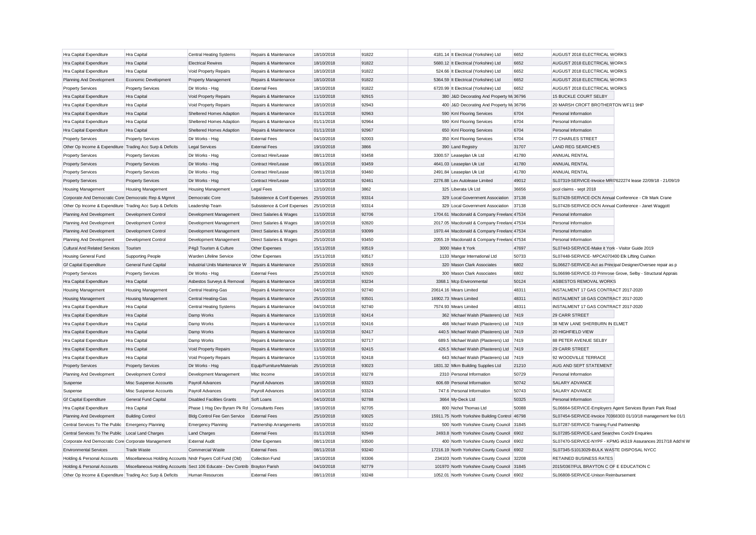| Hra Capital Expenditure                                   | Hra Capital                                                                  | <b>Central Heating Systems</b>               | Repairs & Maintenance       | 18/10/2018 | 91822 | 4181.14 It Electrical (Yorkshire) Ltd           | 6652  | AUGUST 2018 ELECTRICAL WORKS                                  |  |
|-----------------------------------------------------------|------------------------------------------------------------------------------|----------------------------------------------|-----------------------------|------------|-------|-------------------------------------------------|-------|---------------------------------------------------------------|--|
| Hra Capital Expenditure                                   | Hra Capital                                                                  | <b>Electrical Rewires</b>                    | Repairs & Maintenance       | 18/10/2018 | 91822 | 5680.12 It Electrical (Yorkshire) Ltd           | 6652  | AUGUST 2018 ELECTRICAL WORKS                                  |  |
| Hra Capital Expenditure                                   | Hra Capital                                                                  | Void Property Repairs                        | Repairs & Maintenance       | 18/10/2018 | 91822 | 524.66 It Electrical (Yorkshire) Ltd            | 6652  | AUGUST 2018 ELECTRICAL WORKS                                  |  |
| Planning And Development                                  | Economic Development                                                         | <b>Property Management</b>                   | Repairs & Maintenance       | 18/10/2018 | 91822 | 5364.59 It Electrical (Yorkshire) Ltd           | 6652  | AUGUST 2018 ELECTRICAL WORKS                                  |  |
| <b>Property Services</b>                                  | <b>Property Services</b>                                                     | Dir Works - Hsg                              | <b>External Fees</b>        | 18/10/2018 | 91822 | 6720.99 It Electrical (Yorkshire) Ltd           | 6652  | AUGUST 2018 ELECTRICAL WORKS                                  |  |
| Hra Capital Expenditure                                   | Hra Capital                                                                  | Void Property Repairs                        | Repairs & Maintenance       | 11/10/2018 | 92915 | 380 J&D Decorating And Property M: 36796        |       | 15 BUCKLE COURT SELBY                                         |  |
| Hra Capital Expenditure                                   | Hra Capital                                                                  | Void Property Repairs                        | Repairs & Maintenance       | 18/10/2018 | 92943 | 400 J&D Decorating And Property M: 36796        |       | 20 MARSH CROFT BROTHERTON WF11 9HP                            |  |
| Hra Capital Expenditure                                   | Hra Capital                                                                  | Sheltered Homes Adaption                     | Repairs & Maintenance       | 01/11/2018 | 92963 | 590 Kml Flooring Services                       | 6704  | Personal Information                                          |  |
| Hra Capital Expenditure                                   | Hra Capital                                                                  | Sheltered Homes Adaption                     | Repairs & Maintenance       | 01/11/2018 | 92964 | 590 Kml Flooring Services                       | 6704  | Personal Information                                          |  |
| Hra Capital Expenditure                                   | Hra Capital                                                                  | Sheltered Homes Adaption                     | Repairs & Maintenance       | 01/11/2018 | 92967 | 650 Kml Flooring Services                       | 6704  | Personal Information                                          |  |
| <b>Property Services</b>                                  | <b>Property Services</b>                                                     | Dir Works - Hsg                              | <b>External Fees</b>        | 04/10/2018 | 92003 | 350 Kml Flooring Services                       | 6704  | 77 CHARLES STREET                                             |  |
| Other Op Income & Expenditure Trading Acc Surp & Deficits |                                                                              | Legal Services                               | <b>External Fees</b>        | 19/10/2018 | 3866  | 390 Land Registry                               | 31707 | <b>LAND REG SEARCHES</b>                                      |  |
| <b>Property Services</b>                                  | <b>Property Services</b>                                                     | Dir Works - Hsg                              | Contract Hire/Lease         | 08/11/2018 | 93458 | 3300.57 Leaseplan Uk Ltd                        | 41780 | ANNUAL RENTAL                                                 |  |
| <b>Property Services</b>                                  | <b>Property Services</b>                                                     | Dir Works - Hsg                              | Contract Hire/Lease         | 08/11/2018 | 93459 | 4641.03 Leaseplan Uk Ltd                        | 41780 | ANNUAL RENTAL                                                 |  |
| <b>Property Services</b>                                  | <b>Property Services</b>                                                     | Dir Works - Hsg                              | Contract Hire/Lease         | 08/11/2018 | 93460 | 2491.84 Leaseplan Uk Ltd                        | 41780 | ANNUAL RENTAL                                                 |  |
| <b>Property Services</b>                                  | <b>Property Services</b>                                                     | Dir Works - Hsg                              | Contract Hire/Lease         | 18/10/2018 | 92461 | 2276.88 Lex Autolease Limited                   | 49012 | SL07319-SERVICE-Invoice MRI7622274 lease 22/09/18 - 21/09/19  |  |
| Housing Management                                        | Housing Management                                                           | <b>Housing Management</b>                    | <b>Legal Fees</b>           | 12/10/2018 | 3862  | 325 Liberata Uk Ltd                             | 36656 | pcol claims - sept 2018                                       |  |
| Corporate And Democratic Core Democratic Rep & Mgmnt      |                                                                              | Democratic Core                              | Subsistence & Conf Expenses | 25/10/2018 | 93314 | 329 Local Government Association                | 37138 | SL07428-SERVICE-DCN Annual Conference - Cllr Mark Crane       |  |
| Other Op Income & Expenditure Trading Acc Surp & Deficits |                                                                              | Leadership Team                              | Subsistence & Conf Expenses | 25/10/2018 | 93314 | 329 Local Government Association 37138          |       | SL07428-SERVICE-DCN Annual Conference - Janet Waggott         |  |
| Planning And Development                                  | Development Control                                                          | Development Management                       | Direct Salaries & Wages     | 11/10/2018 | 92706 | 1704.61 Macdonald & Company Freeland 47534      |       | Personal Information                                          |  |
| Planning And Development                                  | Development Control                                                          | Development Management                       | Direct Salaries & Wages     | 18/10/2018 | 92820 | 2017.05 Macdonald & Company Freeland 47534      |       | Personal Information                                          |  |
| Planning And Development                                  | Development Control                                                          | Development Management                       | Direct Salaries & Wages     | 25/10/2018 | 93099 | 1970.44 Macdonald & Company Freelanc 47534      |       | Personal Information                                          |  |
| Planning And Development                                  | Development Control                                                          | Development Management                       | Direct Salaries & Wages     | 25/10/2018 | 93450 | 2055.19 Macdonald & Company Freeland 47534      |       | Personal Information                                          |  |
| <b>Cultural And Related Services</b>                      | Tourism                                                                      | P4g3 Tourism & Culture                       | Other Expenses              | 15/11/2018 | 93519 | 3000 Make It York                               | 47697 | SL07443-SERVICE-Make it York - Visitor Guide 2019             |  |
| <b>Housing General Fund</b>                               | <b>Supporting People</b>                                                     | Warden Lifeline Service                      | Other Expenses              | 15/11/2018 | 93517 | 1133 Mangar International Ltd                   | 50733 | SL07448-SERVICE- MPCA070400 Elk Lifting Cushion               |  |
| <b>Gf Capital Expenditure</b>                             | General Fund Capital                                                         | Industrial Units Maintenance W               | Repairs & Maintenance       | 25/10/2018 | 92919 | 320 Mason Clark Associates                      | 6802  | SL06627-SERVICE-Act as Principal Designer/Oversee repair as p |  |
| <b>Property Services</b>                                  | <b>Property Services</b>                                                     | Dir Works - Hsg                              | <b>External Fees</b>        | 25/10/2018 | 92920 | 300 Mason Clark Associates                      | 6802  | SL06698-SERVICE-33 Primrose Grove, Selby - Structural Apprais |  |
| Hra Capital Expenditure                                   | Hra Capital                                                                  | Asbestos Surveys & Removal                   | Repairs & Maintenance       | 18/10/2018 | 93234 | 3368.1 Mcp Environmental                        | 50124 | ASBESTOS REMOVAL WORKS                                        |  |
| Housing Management                                        | Housing Management                                                           | Central Heating-Gas                          | Repairs & Maintenance       | 04/10/2018 | 92740 | 20614.16 Mears Limited                          | 48311 | INSTALMENT 17 GAS CONTRACT 2017-2020                          |  |
| Housing Management                                        | <b>Housing Management</b>                                                    | <b>Central Heating-Gas</b>                   | Repairs & Maintenance       | 25/10/2018 | 93501 | 16902.73 Mears Limited                          | 48311 | INSTALMENT 18 GAS CONTRACT 2017-2020                          |  |
| Hra Capital Expenditure                                   | Hra Capital                                                                  | <b>Central Heating Systems</b>               | Repairs & Maintenance       | 04/10/2018 | 92740 | 7574.93 Mears Limited                           | 48311 | INSTALMENT 17 GAS CONTRACT 2017-2020                          |  |
| Hra Capital Expenditure                                   | Hra Capital                                                                  | Damp Works                                   | Repairs & Maintenance       | 11/10/2018 | 92414 | 362 Michael Walsh (Plasterers) Ltd 7419         |       | 29 CARR STREET                                                |  |
| Hra Capital Expenditure                                   | Hra Capital                                                                  | Damp Works                                   | Repairs & Maintenance       | 11/10/2018 | 92416 | 466 Michael Walsh (Plasterers) Ltd 7419         |       | 38 NEW LANE SHERBURN IN ELMET                                 |  |
| Hra Capital Expenditure                                   | Hra Capital                                                                  | Damp Works                                   | Repairs & Maintenance       | 11/10/2018 | 92417 | 440.5 Michael Walsh (Plasterers) Ltd 7419       |       | 20 HIGHFIELD VIEW                                             |  |
| Hra Capital Expenditure                                   | Hra Capital                                                                  | Damp Works                                   | Repairs & Maintenance       | 18/10/2018 | 92717 | 689.5 Michael Walsh (Plasterers) Ltd 7419       |       | 88 PETER AVENUE SELBY                                         |  |
| Hra Capital Expenditure                                   | <b>Hra Capital</b>                                                           | Void Property Repairs                        | Repairs & Maintenance       | 11/10/2018 | 92415 | 426.5 Michael Walsh (Plasterers) Ltd 7419       |       | 29 CARR STREET                                                |  |
| Hra Capital Expenditure                                   | Hra Capital                                                                  | Void Property Repairs                        | Repairs & Maintenance       | 11/10/2018 | 92418 | 643 Michael Walsh (Plasterers) Ltd 7419         |       | 92 WOODVILLE TERRACE                                          |  |
| <b>Property Services</b>                                  | <b>Property Services</b>                                                     | Dir Works - Hsg                              | Equip/Furniture/Materials   | 25/10/2018 | 93023 | 1831.32 Mkm Building Supplies Ltd               | 21210 | AUG AND SEPT STATEMENT                                        |  |
| Planning And Development                                  | Development Control                                                          | Development Management                       | Misc Income                 | 18/10/2018 | 93278 | 2310 Personal Information                       | 50729 | Personal Information                                          |  |
| Suspense                                                  | Misc Suspense Accounts                                                       | Payroll Advances                             | Payroll Advances            | 18/10/2018 | 93323 | 606.69 Personal Information                     | 50742 | <b>SALARY ADVANCE</b>                                         |  |
| Suspense                                                  | Misc Suspense Accounts                                                       | Payroll Advances                             | Payroll Advances            | 18/10/2018 | 93324 | 747.6 Personal Information                      | 50743 | SALARY ADVANCE                                                |  |
| <b>Gf Capital Expenditure</b>                             | General Fund Capital                                                         | <b>Disabled Facilities Grants</b>            | Soft Loans                  | 04/10/2018 | 92788 | 3664 My-Deck Ltd                                | 50325 | Personal Information                                          |  |
| Hra Capital Expenditure                                   | Hra Capital                                                                  | Phase 1 Hsq Dev Byram Pk Rd Consultants Fees |                             | 18/10/2018 | 92705 | 800 Nichol Thomas Ltd                           | 50088 | SL06664-SERVICE-Employers Agent Services Byram Park Road      |  |
| Planning And Development                                  | <b>Building Control</b>                                                      | Bldg Control Fee Gen Service                 | <b>External Fees</b>        | 25/10/2018 | 93025 | 15911.75 North Yorkshire Building Control 46798 |       | SL07454-SERVICE-Invoice 70368303 01/10/18 management fee 01/1 |  |
| Central Services To The Public Emergency Planning         |                                                                              | <b>Emergency Planning</b>                    | Partnership Arrangements    | 18/10/2018 | 93102 | 500 North Yorkshire County Council 31845        |       | SL07287-SERVICE-Training Fund Partnership                     |  |
| Central Services To The Public Local Land Charges         |                                                                              | <b>Land Charges</b>                          | <b>External Fees</b>        | 01/11/2018 | 92949 | 2493.8 North Yorkshire County Council 6902      |       | SL07285-SERVICE-Land Searches Con29 Enquiries                 |  |
| Corporate And Democratic Core Corporate Management        |                                                                              | <b>External Audit</b>                        | Other Expenses              | 08/11/2018 | 93500 | 400 North Yorkshire County Council 6902         |       | SL07470-SERVICE-NYPF - KPMG IAS19 Assurances 2017/18 Add'nl W |  |
| <b>Environmental Services</b>                             | <b>Trade Waste</b>                                                           | <b>Commercial Waste</b>                      | <b>External Fees</b>        | 08/11/2018 | 93240 | 17216.19 North Yorkshire County Council 6902    |       | SL07345-S1013029-BULK WASTE DISPOSAL NYCC                     |  |
| Holding & Personal Accounts                               | Miscellaneous Holding Accounts Nndr Payers Coll Fund (Old)                   |                                              | <b>Collection Fund</b>      | 18/10/2018 | 93306 | 234103 North Yorkshire County Council 32208     |       | RETAINED BUSINESS RATES                                       |  |
| Holding & Personal Accounts                               | Miscellaneous Holding Accounts Sect 106 Educate - Dev Contrib Brayton Parish |                                              |                             | 04/10/2018 | 92779 | 101970 North Yorkshire County Council 31845     |       | 2015/0367/FUL BRAYTON C OF E EDUCATION C                      |  |
| Other Op Income & Expenditure Trading Acc Surp & Deficits |                                                                              | Human Resources                              | <b>External Fees</b>        | 08/11/2018 | 93248 | 1052.01 North Yorkshire County Council 6902     |       | SL06808-SERVICE-Unison Reimbursement                          |  |
|                                                           |                                                                              |                                              |                             |            |       |                                                 |       |                                                               |  |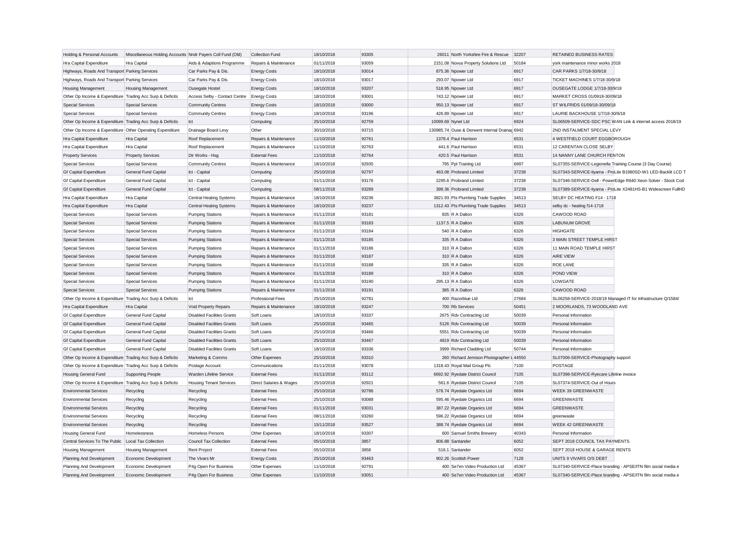| Holding & Personal Accounts                               | Miscellaneous Holding Accounts Nndr Payers Coll Fund (Old) |                                   | <b>Collection Fund</b>   | 18/10/2018 | 93305 | 26011 North Yorkshire Fire & Rescue            | 32207 | RETAINED BUSINESS RATES                                       |
|-----------------------------------------------------------|------------------------------------------------------------|-----------------------------------|--------------------------|------------|-------|------------------------------------------------|-------|---------------------------------------------------------------|
| Hra Capital Expenditure                                   | Hra Capital                                                | Aids & Adaptions Programme        | Repairs & Maintenance    | 01/11/2018 | 93059 | 2151.08 Novus Property Solutions Ltd           | 50184 | york maintenance minor works 2018                             |
| Highways, Roads And Transport Parking Services            |                                                            | Car Parks Pay & Dis.              | <b>Energy Costs</b>      | 18/10/2018 | 93014 | 875.36 Npower Ltd                              | 6917  | CAR PARKS 1/7/18-30/9/18                                      |
| Highways, Roads And Transport Parking Services            |                                                            | Car Parks Pay & Dis               | <b>Energy Costs</b>      | 18/10/2018 | 93017 | 293.07 Npower Ltd                              | 6917  | TICKET MACHINES 1/7/18-30/9/18                                |
| <b>Housing Management</b>                                 | Housing Management                                         | Ousegate Hostel                   | <b>Energy Costs</b>      | 18/10/2018 | 93207 | 518.95 Npower Ltd                              | 6917  | OUSEGATE LODGE 1/7/18-30/9/18                                 |
| Other Op Income & Expenditure Trading Acc Surp & Deficits |                                                            | Access Selby - Contact Centre     | <b>Energy Costs</b>      | 18/10/2018 | 93001 | 743.12 Npower Ltd                              | 6917  | MARKET CROSS 01/0918-30/09/18                                 |
| <b>Special Services</b>                                   | <b>Special Services</b>                                    | <b>Community Centres</b>          | <b>Energy Costs</b>      | 18/10/2018 | 93000 | 950.13 Npower Ltd                              | 6917  | ST WILFRIDS 01/09/18-30/09/18                                 |
| <b>Special Services</b>                                   | <b>Special Services</b>                                    | <b>Community Centres</b>          | <b>Energy Costs</b>      | 18/10/2018 | 93196 | 426.89 Npower Ltd                              | 6917  | LAURIE BACKHOUSE 1/7/18-30/9/18                               |
| Other Op Income & Expenditure Trading Acc Surp & Deficits |                                                            | Ict                               | Computing                | 25/10/2018 | 92759 | 10099.69 Nynet Ltd                             | 6924  | SL06509-SERVICE-SDC PSC WAN Link & internet access 2018/19    |
| Other Op Income & Expenditure Other Operating Expenditure |                                                            | Drainage Board Levy               | Other                    | 30/10/2018 | 93715 | 130985.74 Ouse & Derwent Internal Drainag 6942 |       | 2ND INSTALMENT SPECIAL LEVY                                   |
| Hra Capital Expenditure                                   | Hra Capital                                                | Roof Replacement                  | Repairs & Maintenance    | 11/10/2018 | 92761 | 1378.4 Paul Harrison                           | 6531  | 4 WESTFIELD COURT EGGBOROUGH                                  |
| Hra Capital Expenditure                                   | Hra Capital                                                | Roof Replacement                  | Repairs & Maintenance    | 11/10/2018 | 92763 | 441.6 Paul Harrison                            | 6531  | 12 CARENTAN CLOSE SELBY                                       |
| <b>Property Services</b>                                  | <b>Property Services</b>                                   | Dir Works - Hsg                   | <b>External Fees</b>     | 11/10/2018 | 92764 | 420.5 Paul Harrison                            | 6531  | 14 NANNY LANE CHURCH FENTON                                   |
| <b>Special Services</b>                                   | <b>Special Services</b>                                    | <b>Community Centres</b>          | Repairs & Maintenance    | 18/10/2018 | 92935 | 795 Ppl Training Ltd                           | 6997  | SL07355-SERVICE-Legionella Training Course (3 Day Course)     |
| <b>Gf Capital Expenditure</b>                             | General Fund Capital                                       | Ict - Capital                     | Computing                | 25/10/2018 | 92797 | 463.08 Probrand Limited                        | 37238 | SL07343-SERVICE-liyama - ProLite B1980SD-W1 LED-Backlit LCD T |
| <b>Gf Capital Expenditure</b>                             | General Fund Capital                                       | Ict - Capital                     | Computing                | 01/11/2018 | 93176 | 2295.6 Probrand Limited                        | 37238 | SL07346-SERVICE-Dell - PowerEdge R640 Xeon Solver - Stock Cod |
| <b>Gf Capital Expenditure</b>                             | General Fund Capital                                       | Ict - Capital                     | Computing                | 08/11/2018 | 93289 | 398.36 Probrand Limited                        | 37238 | SL07389-SERVICE-liyama - ProLite X2481HS-B1 Widescreen FullHD |
| Hra Capital Expenditure                                   | Hra Capital                                                | <b>Central Heating Systems</b>    | Repairs & Maintenance    | 18/10/2018 | 93236 | 3821.93 Pts Plumbing Trade Supplies            | 34513 | SELBY DC HEATING F14 - 1718                                   |
| Hra Capital Expenditure                                   | Hra Capital                                                | <b>Central Heating Systems</b>    | Repairs & Maintenance    | 18/10/2018 | 93237 | 1312.43 Pts Plumbing Trade Supplies            | 34513 | selby dc - heating f14-1718                                   |
| <b>Special Services</b>                                   | <b>Special Services</b>                                    | <b>Pumping Stations</b>           | Repairs & Maintenance    | 01/11/2018 | 93181 | 835 R A Dalton                                 | 6326  | CAWOOD ROAD                                                   |
| <b>Special Services</b>                                   | <b>Special Services</b>                                    | <b>Pumping Stations</b>           | Repairs & Maintenance    | 01/11/2018 | 93183 | 1137.5 R A Dalton                              | 6326  | LABUNUM GROVE                                                 |
| <b>Special Services</b>                                   | <b>Special Services</b>                                    | <b>Pumping Stations</b>           | Repairs & Maintenance    | 01/11/2018 | 93184 | 540 R A Dalton                                 | 6326  | <b>HIGHGATE</b>                                               |
| <b>Special Services</b>                                   | <b>Special Services</b>                                    | <b>Pumping Stations</b>           | Repairs & Maintenance    | 01/11/2018 | 93185 | 335 R A Dalton                                 | 6326  | 3 MAIN STREET TEMPLE HIRST                                    |
|                                                           |                                                            |                                   |                          |            |       |                                                |       |                                                               |
| <b>Special Services</b>                                   | <b>Special Services</b>                                    | <b>Pumping Stations</b>           | Repairs & Maintenance    | 01/11/2018 | 93186 | 310 R A Dalton                                 | 6326  | 11 MAIN ROAD TEMPLE HIRST                                     |
| <b>Special Services</b>                                   | <b>Special Services</b>                                    | <b>Pumping Stations</b>           | Repairs & Maintenance    | 01/11/2018 | 93187 | 310 R A Dalton                                 | 6326  | AIRE VIEW                                                     |
| <b>Special Services</b>                                   | <b>Special Services</b>                                    | <b>Pumping Stations</b>           | Repairs & Maintenance    | 01/11/2018 | 93188 | 335 R A Dalton                                 | 6326  | <b>ROE LANE</b>                                               |
| <b>Special Services</b>                                   | <b>Special Services</b>                                    | <b>Pumping Stations</b>           | Repairs & Maintenance    | 01/11/2018 | 93189 | 310 R A Dalton                                 | 6326  | POND VIEW                                                     |
| <b>Special Services</b>                                   | <b>Special Services</b>                                    | <b>Pumping Stations</b>           | Repairs & Maintenance    | 01/11/2018 | 93190 | 295.13 R A Dalton                              | 6326  | LOWGATE                                                       |
| <b>Special Services</b>                                   | <b>Special Services</b>                                    | <b>Pumping Stations</b>           | Repairs & Maintenance    | 01/11/2018 | 93191 | 385 R A Dalton                                 | 6326  | CAWOOD ROAD                                                   |
| Other Op Income & Expenditure Trading Acc Surp & Deficits |                                                            | Ict                               | <b>Professional Fees</b> | 25/10/2018 | 92781 | 400 Razorblue Ltd                              | 27684 | SL06258-SERVICE-2018/19 Managed IT for Infrastructure Q/1584/ |
| Hra Capital Expenditure                                   | Hra Capital                                                | Void Property Repairs             | Repairs & Maintenance    | 18/10/2018 | 93247 | 700 Rb Services                                | 50451 | 2 MOORLANDS, 73 WOODLAND AVE                                  |
| <b>Gf Capital Expenditure</b>                             | General Fund Capital                                       | <b>Disabled Facilities Grants</b> | Soft Loans               | 18/10/2018 | 93337 | 2675 Rdv Contracting Ltd                       | 50039 | Personal Information                                          |
| <b>Gf Capital Expenditure</b>                             | General Fund Capital                                       | <b>Disabled Facilities Grants</b> | Soft Loans               | 25/10/2018 | 93465 | 5126 Rdv Contracting Ltd                       | 50039 | Personal Information                                          |
| <b>Gf Capital Expenditure</b>                             | General Fund Capital                                       | <b>Disabled Facilities Grants</b> | Soft Loans               | 25/10/2018 | 93466 | 5551 Rdv Contracting Ltd                       | 50039 | Personal Information                                          |
| <b>Gf Capital Expenditure</b>                             | General Fund Capital                                       | <b>Disabled Facilities Grants</b> | Soft Loans               | 25/10/2018 | 93467 | 4819 Rdv Contracting Ltd                       | 50039 | Personal Information                                          |
| <b>Gf Capital Expenditure</b>                             | General Fund Capital                                       | <b>Disabled Facilities Grants</b> | Soft Loans               | 18/10/2018 | 93336 | 3999 Richard Cladding Ltd                      | 50744 | Personal Information                                          |
| Other Op Income & Expenditure Trading Acc Surp & Deficits |                                                            | Marketing & Comms                 | Other Expenses           | 25/10/2018 | 93310 | 260 Richard Jemison Photographer L 44550       |       | SL07006-SERVICE-Photography support                           |
| Other Op Income & Expenditure Trading Acc Surp & Deficits |                                                            | Postage Account                   | Communications           | 01/11/2018 | 93078 | 1318.43 Royal Mail Group Plc                   | 7100  | POSTAGE                                                       |
| <b>Housing General Fund</b>                               | <b>Supporting People</b>                                   | Warden Lifeline Service           | <b>External Fees</b>     | 01/11/2018 | 93112 | 6692.92 Ryedale District Council               | 7105  | SL07398-SERVICE-Ryecare Lifeline invoice                      |
| Other Op Income & Expenditure Trading Acc Surp & Deficits |                                                            | <b>Housing Tenant Services</b>    | Direct Salaries & Wages  | 25/10/2018 | 92921 | 561.6 Ryedale District Council                 | 7105  | SL07374-SERVICE-Out of Hours                                  |
| <b>Environmental Services</b>                             | Recycling                                                  | Recycling                         | <b>External Fees</b>     | 25/10/2018 | 92786 | 578.74 Ryedale Organics Ltd                    | 6694  | WEEK 39 GREENWASTE                                            |
| <b>Environmental Services</b>                             | Recycling                                                  | Recycling                         | <b>External Fees</b>     | 25/10/2018 | 93088 | 595.46 Ryedale Organics Ltd                    | 6694  | <b>GREENWASTE</b>                                             |
| <b>Environmental Services</b>                             | Recycling                                                  | Recycling                         | <b>External Fees</b>     | 01/11/2018 | 93031 | 387.22 Ryedale Organics Ltd                    | 6694  | <b>GREENWASTE</b>                                             |
| <b>Environmental Services</b>                             | Recycling                                                  | Recycling                         | <b>External Fees</b>     | 08/11/2018 | 93260 | 596.22 Ryedale Organics Ltd                    | 6694  | greenwaste                                                    |
| <b>Environmental Services</b>                             | Recycling                                                  | Recycling                         | <b>External Fees</b>     | 15/11/2018 | 93527 | 388.74 Ryedale Organics Ltd                    | 6694  | <b>WEEK 42 GREENWASTE</b>                                     |
| Housing General Fund                                      | Homelessness                                               | <b>Homeless Persons</b>           | Other Expenses           | 18/10/2018 | 93307 | 600 Samuel Smiths Brewery                      | 40343 | Personal Information                                          |
| Central Services To The Public                            | Local Tax Collection                                       | <b>Council Tax Collection</b>     | <b>External Fees</b>     | 05/10/2018 | 3857  | 806.88 Santander                               | 6052  | SEPT 2018 COUNCIL TAX PAYMENTS                                |
| Housing Management                                        | Housing Management                                         | Rent Project                      | <b>External Fees</b>     | 05/10/2018 | 3858  | 516.1 Santander                                | 6052  | SEPT 2018 HOUSE & GARAGE RENTS                                |
| Planning And Development                                  | Economic Development                                       | The Vivars Mr                     | <b>Energy Costs</b>      | 25/10/2018 | 93463 | 902.26 Scottish Power                          | 7128  | UNITS 9 VIVARS O/S DEBT                                       |
| Planning And Development                                  | Economic Development                                       | P4g Open For Business             | Other Expenses           | 11/10/2018 | 92791 | 400 Se7en Video Production Ltd                 | 45367 | SL07340-SERVICE-Place branding - APSE/ITN film social media e |
| Planning And Development                                  | Economic Development                                       | P4g Open For Business             | Other Expenses           | 11/10/2018 | 93051 | 400 Se7en Video Production Ltd                 | 45367 | SL07340-SERVICE-Place branding - APSE/ITN film social media e |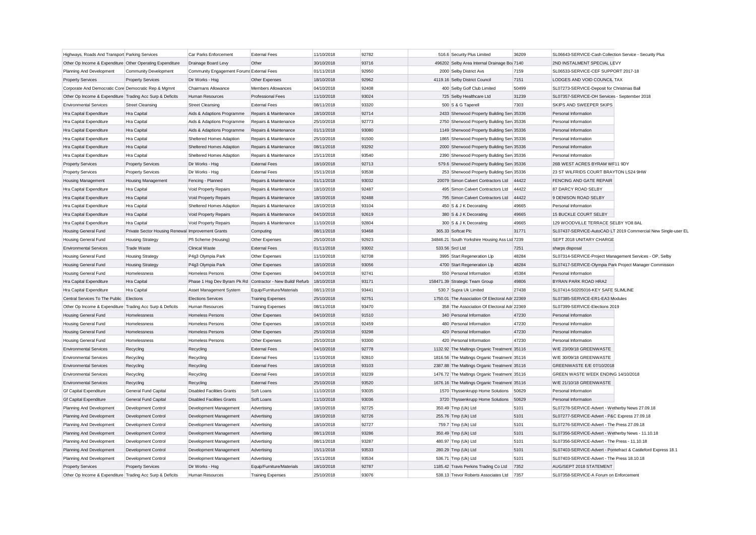| Highways, Roads And Transport Parking Services            |                                                   | Car Parks Enforcement                     | <b>External Fees</b>                                                  | 11/10/2018 | 92782 | 516.6 Security Plus Limited                    | 36209 | SL06643-SERVICE-Cash Collection Service - Security Plus       |
|-----------------------------------------------------------|---------------------------------------------------|-------------------------------------------|-----------------------------------------------------------------------|------------|-------|------------------------------------------------|-------|---------------------------------------------------------------|
| Other Op Income & Expenditure Other Operating Expenditure |                                                   | Drainage Board Levy                       | Other                                                                 | 30/10/2018 | 93716 | 496202 Selby Area Internal Drainage Bo: 7140   |       | 2ND INSTALMENT SPECIAL LEVY                                   |
| Planning And Development                                  | <b>Community Development</b>                      | Community Engagement Forums External Fees |                                                                       | 01/11/2018 | 92950 | 2000 Selby District Avs                        | 7159  | SL06533-SERVICE-CEF SUPPORT 2017-18                           |
| <b>Property Services</b>                                  | <b>Property Services</b>                          | Dir Works - Hsg                           | Other Expenses                                                        | 18/10/2018 | 92962 | 4119.16 Selby District Council                 | 7151  | LODGES AND VOID COUNCIL TAX                                   |
| Corporate And Democratic Core Democratic Rep & Mgmnt      |                                                   | Chairmans Allowance                       | Members Allowances                                                    | 04/10/2018 | 92408 | 400 Selby Golf Club Limited                    | 50499 | SL07273-SERVICE-Deposit for Christmas Ball                    |
| Other Op Income & Expenditure Trading Acc Surp & Deficits |                                                   | Human Resources                           | <b>Professional Fees</b>                                              | 11/10/2018 | 93024 | 725 Selby Healthcare Ltd                       | 31239 | SL07357-SERVICE-OH Services - September 2018                  |
| <b>Environmental Services</b>                             | <b>Street Cleansing</b>                           | <b>Street Cleansing</b>                   | <b>External Fees</b>                                                  | 08/11/2018 | 93320 | 500 S & G Taperell                             | 7303  | SKIPS AND SWEEPER SKIPS                                       |
| Hra Capital Expenditure                                   | Hra Capital                                       | Aids & Adaptions Programme                | Repairs & Maintenance                                                 | 18/10/2018 | 92714 | 2433 Sherwood Property Building Sen 35336      |       | Personal Information                                          |
| Hra Capital Expenditure                                   | Hra Capital                                       | Aids & Adaptions Programme                | Repairs & Maintenance                                                 | 25/10/2018 | 92773 | 2750 Sherwood Property Building Sen 35336      |       | Personal Information                                          |
| Hra Capital Expenditure                                   | Hra Capital                                       | Aids & Adaptions Programme                | Repairs & Maintenance                                                 | 01/11/2018 | 93080 | 1149 Sherwood Property Building Sen 35336      |       | Personal Information                                          |
| Hra Capital Expenditure                                   | Hra Capital                                       | Sheltered Homes Adaption                  | Repairs & Maintenance                                                 | 25/10/2018 | 91500 | 1865 Sherwood Property Building Sen 35336      |       | Personal Information                                          |
| Hra Capital Expenditure                                   | Hra Capital                                       | Sheltered Homes Adaption                  | Repairs & Maintenance                                                 | 08/11/2018 | 93292 | 2000 Sherwood Property Building Sen 35336      |       | Personal Information                                          |
| Hra Capital Expenditure                                   | Hra Capital                                       | Sheltered Homes Adaption                  | Repairs & Maintenance                                                 | 15/11/2018 | 93540 | 2390 Sherwood Property Building Sen 35336      |       | Personal Information                                          |
| <b>Property Services</b>                                  | <b>Property Services</b>                          | Dir Works - Hsg                           | <b>External Fees</b>                                                  | 18/10/2018 | 92713 | 579.6 Sherwood Property Building Serv 35336    |       | 26B WEST ACRES BYRAM WF11 9DY                                 |
| <b>Property Services</b>                                  | <b>Property Services</b>                          | Dir Works - Hsg                           | <b>External Fees</b>                                                  | 15/11/2018 | 93538 | 253 Sherwood Property Building Sen 35336       |       | 23 ST WILFRIDS COURT BRAYTON LS24 9HW                         |
| Housing Management                                        | <b>Housing Management</b>                         | Fencing - Planned                         | Repairs & Maintenance                                                 | 01/11/2018 | 93032 | 20079 Simon Calvert Contractors Ltd            | 44422 | FENCING AND GATE REPAIR                                       |
| Hra Capital Expenditure                                   | Hra Capital                                       | Void Property Repairs                     | Repairs & Maintenance                                                 | 18/10/2018 | 92487 | 495 Simon Calvert Contractors Ltd              | 44422 | 87 DARCY ROAD SELBY                                           |
| Hra Capital Expenditure                                   | Hra Capital                                       | Void Property Repairs                     | Repairs & Maintenance                                                 | 18/10/2018 | 92488 | 795 Simon Calvert Contractors Ltd              | 44422 | 9 DENISON ROAD SELBY                                          |
| Hra Capital Expenditure                                   | Hra Capital                                       | Sheltered Homes Adaption                  | Repairs & Maintenance                                                 | 18/10/2018 | 93104 | 450 S & J K Decorating                         | 49665 | Personal Information                                          |
| Hra Capital Expenditure                                   | Hra Capital                                       | Void Property Repairs                     | Repairs & Maintenance                                                 | 04/10/2018 | 92619 | 380 S & J K Decorating                         | 49665 | 15 BUCKLE COURT SELBY                                         |
| Hra Capital Expenditure                                   | Hra Capital                                       | Void Property Repairs                     | Repairs & Maintenance                                                 | 11/10/2018 | 92804 | 300 S & J K Decorating                         | 49665 | 129 WOODVILLE TERRACE SELBY YO8 8AL                           |
| Housing General Fund                                      | Private Sector Housing Renewal Improvement Grants |                                           | Computing                                                             | 08/11/2018 | 93468 | 365.33 Softcat Plc                             | 31771 | SL07437-SERVICE-AutoCAD LT 2019 Commercial New Single-user EL |
| <b>Housing General Fund</b>                               | <b>Housing Strategy</b>                           | Pfi Scheme (Housing)                      | Other Expenses                                                        | 25/10/2018 | 92923 | 34846.21 South Yorkshire Housing Ass Ltd 7239  |       | SEPT 2018 UNITARY CHARGE                                      |
| <b>Environmental Services</b>                             | <b>Trade Waste</b>                                | <b>Clinical Waste</b>                     | <b>External Fees</b>                                                  | 01/11/2018 | 93002 | 533.56 Srcl Ltd                                | 7251  | sharps disposal                                               |
| Housing General Fund                                      | <b>Housing Strategy</b>                           | P4g3 Olympia Park                         | Other Expenses                                                        | 11/10/2018 | 92708 | 3995 Start Regeneration Llp                    | 48284 | SL07314-SERVICE-Project Management Services - OP, Selby       |
| Housing General Fund                                      | <b>Housing Strategy</b>                           | P4g3 Olympia Park                         | Other Expenses                                                        | 18/10/2018 | 93056 | 4700 Start Regeneration Llp                    | 48284 | SL07417-SERVICE-Olympia Park Project Manager Commission       |
| Housing General Fund                                      | Homelessness                                      | Homeless Persons                          | Other Expenses                                                        | 04/10/2018 | 92741 | 550 Personal Information                       | 45384 | Personal Information                                          |
| Hra Capital Expenditure                                   | Hra Capital                                       |                                           | Phase 1 Hsg Dev Byram Pk Rd Contractor - New Build/ Refurb 18/10/2018 |            | 93171 | 158471.39 Strategic Team Group                 | 49806 | BYRAN PARK ROAD HRA2                                          |
| Hra Capital Expenditure                                   | Hra Capital                                       | Asset Management System                   | Equip/Furniture/Materials                                             | 08/11/2018 | 93441 | 530.7 Supra Uk Limited                         | 27438 | SL07414-S0205016-KEY SAFE SLIMLINE                            |
| Central Services To The Public                            | Elections                                         | <b>Elections Services</b>                 | <b>Training Expenses</b>                                              | 25/10/2018 | 92751 | 1750.01 The Association Of Electoral Adr 22369 |       | SL07385-SERVICE-ER1-EA3 Modules                               |
| Other Op Income & Expenditure Trading Acc Surp & Deficits |                                                   | <b>Human Resources</b>                    | <b>Training Expenses</b>                                              | 08/11/2018 | 93470 | 358 The Association Of Electoral Adr 22369     |       | SL07399-SERVICE-Elections 2019                                |
| <b>Housing General Fund</b>                               | Homelessness                                      | Homeless Persons                          | Other Expenses                                                        | 04/10/2018 | 91510 | 340 Personal Information                       | 47230 | Personal Information                                          |
| <b>Housing General Fund</b>                               | Homelessness                                      | <b>Homeless Persons</b>                   | Other Expenses                                                        | 18/10/2018 | 92459 | 480 Personal Information                       | 47230 | Personal Information                                          |
| Housing General Fund                                      | Homelessness                                      | Homeless Persons                          | Other Expenses                                                        | 25/10/2018 | 93298 | 420 Personal Information                       | 47230 | Personal Information                                          |
| Housing General Fund                                      | Homelessness                                      | Homeless Persons                          | Other Expenses                                                        | 25/10/2018 | 93300 | 420 Personal Information                       | 47230 | Personal Information                                          |
| <b>Environmental Services</b>                             | Recycling                                         | Recycling                                 | <b>External Fees</b>                                                  | 04/10/2018 | 92778 | 1132.92 The Maltings Organic Treatment 35116   |       | W/E 23/09/18 GREENWASTE                                       |
| <b>Environmental Services</b>                             | Recycling                                         | Recycling                                 | <b>External Fees</b>                                                  | 11/10/2018 | 92810 | 1816.56 The Maltings Organic Treatment 35116   |       | W/E 30/09/18 GREENWASTE                                       |
| <b>Environmental Services</b>                             | Recycling                                         | Recycling                                 | <b>External Fees</b>                                                  | 18/10/2018 | 93103 | 2387.88 The Maltings Organic Treatment 35116   |       | GREENWASTE E/E 07/10/2018                                     |
| <b>Environmental Services</b>                             | Recycling                                         | Recycling                                 | <b>External Fees</b>                                                  | 18/10/2018 | 93239 | 1476.72 The Maltings Organic Treatment 35116   |       | GREEN WASTE WEEK ENDING 14/10/2018                            |
| <b>Environmental Services</b>                             | Recycling                                         | Recycling                                 | <b>External Fees</b>                                                  | 25/10/2018 | 93520 | 1676.16 The Maltings Organic Treatment 35116   |       | W/E 21/10/18 GREENWASTE                                       |
| <b>Gf Capital Expenditure</b>                             | General Fund Capital                              | <b>Disabled Facilities Grants</b>         | Soft Loans                                                            | 11/10/2018 | 93035 | 1570 Thyssenkrupp Home Solutions               | 50629 | Personal Information                                          |
| <b>Gf Capital Expenditure</b>                             | General Fund Capital                              | <b>Disabled Facilities Grants</b>         | Soft Loans                                                            | 11/10/2018 | 93036 | 3720 Thyssenkrupp Home Solutions               | 50629 | Personal Information                                          |
| Planning And Development                                  | Development Control                               | Development Management                    | Advertising                                                           | 18/10/2018 | 92725 | 350.49 Tmp (Uk) Ltd                            | 5101  | SL07278-SERVICE-Advert - Wetherby News 27.09.18               |
| Planning And Development                                  | Development Control                               | Development Management                    | Advertising                                                           | 18/10/2018 | 92726 | 255.76 Tmp (Uk) Ltd                            | 5101  | SL07277-SERVICE-Advert - P&C Express 27.09.18                 |
|                                                           | Development Control                               | Development Management                    |                                                                       | 18/10/2018 | 92727 | 759.7 Tmp (Uk) Ltd                             | 5101  | SL07276-SERVICE-Advert - The Press 27.09.18                   |
| Planning And Development<br>Planning And Development      | Development Control                               | Development Management                    | Advertising<br>Advertising                                            | 08/11/2018 | 93286 | 350.49 Tmp (Uk) Ltd                            | 5101  | SL07356-SERVICE-Advert - Wetherby News - 11.10.18             |
| Planning And Development                                  | Development Control                               | Development Management                    | Advertising                                                           | 08/11/2018 | 93287 | 480.97 Tmp (Uk) Ltd                            | 5101  | SL07356-SERVICE-Advert - The Press - 11.10.18                 |
| Planning And Development                                  | <b>Development Control</b>                        | Development Management                    | Advertising                                                           | 15/11/2018 | 93533 | 280.29 Tmp (Uk) Ltd                            | 5101  | SL07403-SERVICE-Advert - Pontefract & Castleford Express 18.1 |
| Planning And Development                                  | Development Control                               | Development Management                    | Advertising                                                           | 15/11/2018 | 93534 | 536.71 Tmp (Uk) Ltd                            | 5101  | SL07403-SERVICE-Advert - The Press 18.10.18                   |
|                                                           | <b>Property Services</b>                          | Dir Works - Hsg                           | Equip/Furniture/Materials                                             | 18/10/2018 | 92787 | 1185.42 Travis Perkins Trading Co Ltd          | 7352  | AUG/SEPT 2018 STATEMENT                                       |
| <b>Property Services</b>                                  |                                                   | <b>Human Resources</b>                    |                                                                       | 25/10/2018 | 93076 | 538.13 Trevor Roberts Associates Ltd           | 7357  | SL07358-SERVICE-A Forum on Enforcement                        |
| Other Op Income & Expenditure Trading Acc Surp & Deficits |                                                   |                                           | <b>Training Expenses</b>                                              |            |       |                                                |       |                                                               |